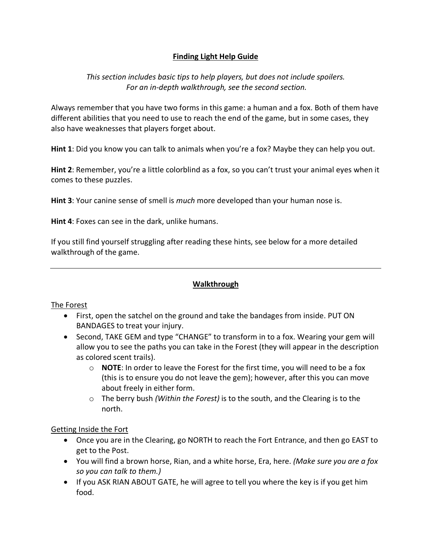# **Finding Light Help Guide**

### *This section includes basic tips to help players, but does not include spoilers. For an in-depth walkthrough, see the second section.*

Always remember that you have two forms in this game: a human and a fox. Both of them have different abilities that you need to use to reach the end of the game, but in some cases, they also have weaknesses that players forget about.

**Hint 1**: Did you know you can talk to animals when you're a fox? Maybe they can help you out.

**Hint 2**: Remember, you're a little colorblind as a fox, so you can't trust your animal eyes when it comes to these puzzles.

**Hint 3**: Your canine sense of smell is *much* more developed than your human nose is.

**Hint 4**: Foxes can see in the dark, unlike humans.

If you still find yourself struggling after reading these hints, see below for a more detailed walkthrough of the game.

#### **Walkthrough**

#### The Forest

- First, open the satchel on the ground and take the bandages from inside. PUT ON BANDAGES to treat your injury.
- Second, TAKE GEM and type "CHANGE" to transform in to a fox. Wearing your gem will allow you to see the paths you can take in the Forest (they will appear in the description as colored scent trails).
	- o **NOTE**: In order to leave the Forest for the first time, you will need to be a fox (this is to ensure you do not leave the gem); however, after this you can move about freely in either form.
	- o The berry bush *(Within the Forest)* is to the south, and the Clearing is to the north.

#### Getting Inside the Fort

- Once you are in the Clearing, go NORTH to reach the Fort Entrance, and then go EAST to get to the Post.
- You will find a brown horse, Rian, and a white horse, Era, here. *(Make sure you are a fox so you can talk to them.)*
- If you ASK RIAN ABOUT GATE, he will agree to tell you where the key is if you get him food.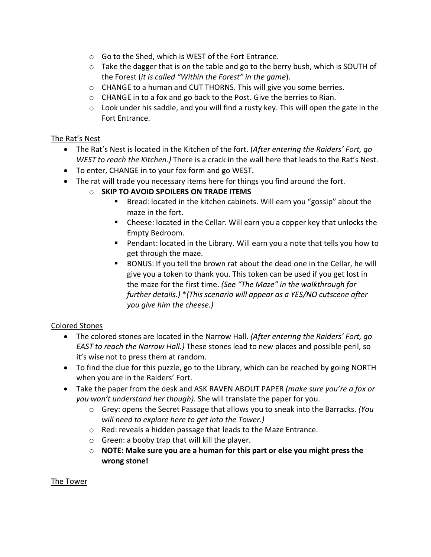- o Go to the Shed, which is WEST of the Fort Entrance.
- $\circ$  Take the dagger that is on the table and go to the berry bush, which is SOUTH of the Forest (*it is called "Within the Forest" in the game*).
- $\circ$  CHANGE to a human and CUT THORNS. This will give you some berries.
- o CHANGE in to a fox and go back to the Post. Give the berries to Rian.
- o Look under his saddle, and you will find a rusty key. This will open the gate in the Fort Entrance.

#### The Rat's Nest

- The Rat's Nest is located in the Kitchen of the fort. (*After entering the Raiders' Fort, go WEST to reach the Kitchen.)* There is a crack in the wall here that leads to the Rat's Nest.
- To enter, CHANGE in to your fox form and go WEST.
- The rat will trade you necessary items here for things you find around the fort.
	- o **SKIP TO AVOID SPOILERS ON TRADE ITEMS**
		- Bread: located in the kitchen cabinets. Will earn you "gossip" about the maze in the fort.
		- Cheese: located in the Cellar. Will earn you a copper key that unlocks the Empty Bedroom.
		- Pendant: located in the Library. Will earn you a note that tells you how to get through the maze.
		- § BONUS: If you tell the brown rat about the dead one in the Cellar, he will give you a token to thank you. This token can be used if you get lost in the maze for the first time. *(See "The Maze" in the walkthrough for further details.)* \**(This scenario will appear as a YES/NO cutscene after you give him the cheese.)*

#### Colored Stones

- The colored stones are located in the Narrow Hall. *(After entering the Raiders' Fort, go EAST to reach the Narrow Hall.)* These stones lead to new places and possible peril, so it's wise not to press them at random.
- To find the clue for this puzzle, go to the Library, which can be reached by going NORTH when you are in the Raiders' Fort.
- Take the paper from the desk and ASK RAVEN ABOUT PAPER *(make sure you're a fox or you won't understand her though).* She will translate the paper for you.
	- o Grey: opens the Secret Passage that allows you to sneak into the Barracks. *(You will need to explore here to get into the Tower.)*
	- o Red: reveals a hidden passage that leads to the Maze Entrance.
	- o Green: a booby trap that will kill the player.
	- o **NOTE: Make sure you are a human for this part or else you might press the wrong stone!**

#### The Tower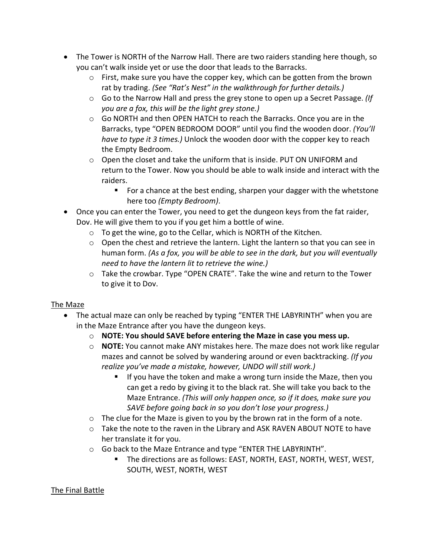- The Tower is NORTH of the Narrow Hall. There are two raiders standing here though, so you can't walk inside yet or use the door that leads to the Barracks.
	- o First, make sure you have the copper key, which can be gotten from the brown rat by trading. *(See "Rat's Nest" in the walkthrough for further details.)*
	- o Go to the Narrow Hall and press the grey stone to open up a Secret Passage. *(If you are a fox, this will be the light grey stone.)*
	- o Go NORTH and then OPEN HATCH to reach the Barracks. Once you are in the Barracks, type "OPEN BEDROOM DOOR" until you find the wooden door. *(You'll have to type it 3 times.)* Unlock the wooden door with the copper key to reach the Empty Bedroom.
	- $\circ$  Open the closet and take the uniform that is inside. PUT ON UNIFORM and return to the Tower. Now you should be able to walk inside and interact with the raiders.
		- For a chance at the best ending, sharpen your dagger with the whetstone here too *(Empty Bedroom)*.
- Once you can enter the Tower, you need to get the dungeon keys from the fat raider, Dov. He will give them to you if you get him a bottle of wine.
	- o To get the wine, go to the Cellar, which is NORTH of the Kitchen.
	- $\circ$  Open the chest and retrieve the lantern. Light the lantern so that you can see in human form. *(As a fox, you will be able to see in the dark, but you will eventually need to have the lantern lit to retrieve the wine.)*
	- o Take the crowbar. Type "OPEN CRATE". Take the wine and return to the Tower to give it to Dov.

## The Maze

- The actual maze can only be reached by typing "ENTER THE LABYRINTH" when you are in the Maze Entrance after you have the dungeon keys.
	- o **NOTE: You should SAVE before entering the Maze in case you mess up.**
	- o **NOTE:** You cannot make ANY mistakes here. The maze does not work like regular mazes and cannot be solved by wandering around or even backtracking. *(If you realize you've made a mistake, however, UNDO will still work.)*
		- If you have the token and make a wrong turn inside the Maze, then you can get a redo by giving it to the black rat. She will take you back to the Maze Entrance. *(This will only happen once, so if it does, make sure you SAVE before going back in so you don't lose your progress.)*
	- $\circ$  The clue for the Maze is given to you by the brown rat in the form of a note.
	- o Take the note to the raven in the Library and ASK RAVEN ABOUT NOTE to have her translate it for you.
	- o Go back to the Maze Entrance and type "ENTER THE LABYRINTH".
		- § The directions are as follows: EAST, NORTH, EAST, NORTH, WEST, WEST, SOUTH, WEST, NORTH, WEST

## The Final Battle